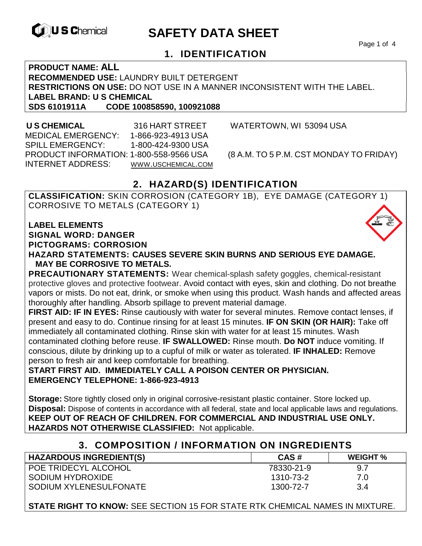

# **EXAGREM** SAFETY DATA SHEET

Page 1 of 4

## **1. IDENTIFICATION**

**PRODUCT NAME: ALL RECOMMENDED USE:** LAUNDRY BUILT DETERGENT **RESTRICTIONS ON USE:** DO NOT USE IN A MANNER INCONSISTENT WITH THE LABEL. **LABEL BRAND: U S CHEMICAL SDS 6101911A CODE 100858590, 100921088** 

 **U S CHEMICAL** 316 HART STREET WATERTOWN, WI 53094 USA MEDICAL EMERGENCY: 1-866-923-4913 USA SPILL EMERGENCY: 1-800-424-9300 USA PRODUCT INFORMATION: 1-800-558-9566 USA (8 A.M. TO 5 P.M. CST MONDAY TO FRIDAY) INTERNET ADDRESS: WWW.USCHEMICAL.COM

# **2. HAZARD(S) IDENTIFICATION**

**CLASSIFICATION:** SKIN CORROSION (CATEGORY 1B), EYE DAMAGE (CATEGORY 1) CORROSIVE TO METALS (CATEGORY 1)

**LABEL ELEMENTS SIGNAL WORD: DANGER PICTOGRAMS: CORROSION**

**HAZARD STATEMENTS: CAUSES SEVERE SKIN BURNS AND SERIOUS EYE DAMAGE. MAY BE CORROSIVE TO METALS.** 

**PRECAUTIONARY STATEMENTS:** Wear chemical-splash safety goggles, chemical-resistant protective gloves and protective footwear. Avoid contact with eyes, skin and clothing. Do not breathe vapors or mists. Do not eat, drink, or smoke when using this product. Wash hands and affected areas thoroughly after handling. Absorb spillage to prevent material damage.

**FIRST AID: IF IN EYES:** Rinse cautiously with water for several minutes. Remove contact lenses, if present and easy to do. Continue rinsing for at least 15 minutes. **IF ON SKIN (OR HAIR):** Take off immediately all contaminated clothing. Rinse skin with water for at least 15 minutes. Wash contaminated clothing before reuse. **IF SWALLOWED:** Rinse mouth. **Do NOT** induce vomiting. If conscious, dilute by drinking up to a cupful of milk or water as tolerated. **IF INHALED:** Remove person to fresh air and keep comfortable for breathing.

**START FIRST AID. IMMEDIATELY CALL A POISON CENTER OR PHYSICIAN. EMERGENCY TELEPHONE: 1-866-923-4913** 

**Storage:** Store tightly closed only in original corrosive-resistant plastic container. Store locked up. **Disposal:** Dispose of contents in accordance with all federal, state and local applicable laws and regulations. **KEEP OUT OF REACH OF CHILDREN. FOR COMMERCIAL AND INDUSTRIAL USE ONLY. HAZARDS NOT OTHERWISE CLASSIFIED:** Not applicable.

### **3. COMPOSITION / INFORMATION ON INGREDIENTS**

| <b>HAZARDOUS INGREDIENT(S)</b> | CAS#       | <b>WEIGHT</b> % |
|--------------------------------|------------|-----------------|
| POE TRIDECYL ALCOHOL           | 78330-21-9 | 9.7             |
| SODIUM HYDROXIDE               | 1310-73-2  | 7.0             |
| SODIUM XYLENESULFONATE         | 1300-72-7  | 3.4             |

**STATE RIGHT TO KNOW:** SEE SECTION 15 FOR STATE RTK CHEMICAL NAMES IN MIXTURE.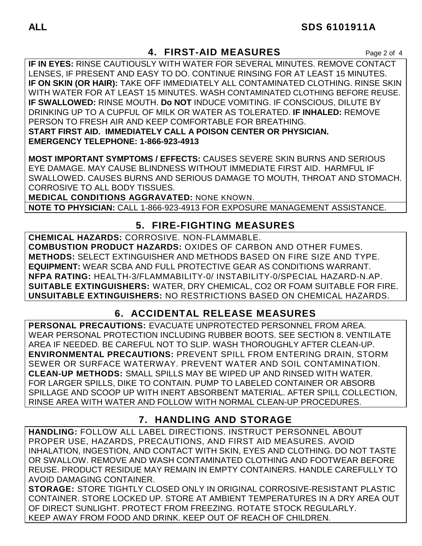# **4. FIRST-AID MEASURES** Page 2 of 4

**IF IN EYES:** RINSE CAUTIOUSLY WITH WATER FOR SEVERAL MINUTES. REMOVE CONTACT LENSES, IF PRESENT AND EASY TO DO. CONTINUE RINSING FOR AT LEAST 15 MINUTES. **IF ON SKIN (OR HAIR):** TAKE OFF IMMEDIATELY ALL CONTAMINATED CLOTHING. RINSE SKIN WITH WATER FOR AT LEAST 15 MINUTES. WASH CONTAMINATED CLOTHING BEFORE REUSE. **IF SWALLOWED:** RINSE MOUTH. **Do NOT** INDUCE VOMITING. IF CONSCIOUS, DILUTE BY DRINKING UP TO A CUPFUL OF MILK OR WATER AS TOLERATED. **IF INHALED:** REMOVE PERSON TO FRESH AIR AND KEEP COMFORTABLE FOR BREATHING. **START FIRST AID. IMMEDIATELY CALL A POISON CENTER OR PHYSICIAN. EMERGENCY TELEPHONE: 1-866-923-4913**

**MOST IMPORTANT SYMPTOMS / EFFECTS:** CAUSES SEVERE SKIN BURNS AND SERIOUS EYE DAMAGE. MAY CAUSE BLINDNESS WITHOUT IMMEDIATE FIRST AID. HARMFUL IF SWALLOWED. CAUSES BURNS AND SERIOUS DAMAGE TO MOUTH, THROAT AND STOMACH. CORROSIVE TO ALL BODY TISSUES.

**MEDICAL CONDITIONS AGGRAVATED:** NONE KNOWN.

**NOTE TO PHYSICIAN:** CALL 1-866-923-4913 FOR EXPOSURE MANAGEMENT ASSISTANCE.

# **5. FIRE-FIGHTING MEASURES**

**CHEMICAL HAZARDS:** CORROSIVE. NON-FLAMMABLE. **COMBUSTION PRODUCT HAZARDS:** OXIDES OF CARBON AND OTHER FUMES. **METHODS:** SELECT EXTINGUISHER AND METHODS BASED ON FIRE SIZE AND TYPE. **EQUIPMENT:** WEAR SCBA AND FULL PROTECTIVE GEAR AS CONDITIONS WARRANT. **NFPA RATING:** HEALTH-3/FLAMMABILITY-0/ INSTABILITY-0/SPECIAL HAZARD-N.AP. **SUITABLE EXTINGUISHERS:** WATER, DRY CHEMICAL, CO2 OR FOAM SUITABLE FOR FIRE. **UNSUITABLE EXTINGUISHERS:** NO RESTRICTIONS BASED ON CHEMICAL HAZARDS.

# **6. ACCIDENTAL RELEASE MEASURES**

**PERSONAL PRECAUTIONS:** EVACUATE UNPROTECTED PERSONNEL FROM AREA. WEAR PERSONAL PROTECTION INCLUDING RUBBER BOOTS. SEE SECTION 8. VENTILATE AREA IF NEEDED. BE CAREFUL NOT TO SLIP. WASH THOROUGHLY AFTER CLEAN-UP. **ENVIRONMENTAL PRECAUTIONS:** PREVENT SPILL FROM ENTERING DRAIN, STORM SEWER OR SURFACE WATERWAY. PREVENT WATER AND SOIL CONTAMINATION. **CLEAN-UP METHODS:** SMALL SPILLS MAY BE WIPED UP AND RINSED WITH WATER. FOR LARGER SPILLS, DIKE TO CONTAIN. PUMP TO LABELED CONTAINER OR ABSORB SPILLAGE AND SCOOP UP WITH INERT ABSORBENT MATERIAL. AFTER SPILL COLLECTION, RINSE AREA WITH WATER AND FOLLOW WITH NORMAL CLEAN-UP PROCEDURES.

# **7. HANDLING AND STORAGE**

**HANDLING:** FOLLOW ALL LABEL DIRECTIONS. INSTRUCT PERSONNEL ABOUT PROPER USE, HAZARDS, PRECAUTIONS, AND FIRST AID MEASURES. AVOID INHALATION, INGESTION, AND CONTACT WITH SKIN, EYES AND CLOTHING. DO NOT TASTE OR SWALLOW. REMOVE AND WASH CONTAMINATED CLOTHING AND FOOTWEAR BEFORE REUSE. PRODUCT RESIDUE MAY REMAIN IN EMPTY CONTAINERS. HANDLE CAREFULLY TO AVOID DAMAGING CONTAINER.

**STORAGE:** STORE TIGHTLY CLOSED ONLY IN ORIGINAL CORROSIVE-RESISTANT PLASTIC CONTAINER. STORE LOCKED UP. STORE AT AMBIENT TEMPERATURES IN A DRY AREA OUT OF DIRECT SUNLIGHT. PROTECT FROM FREEZING. ROTATE STOCK REGULARLY. KEEP AWAY FROM FOOD AND DRINK. KEEP OUT OF REACH OF CHILDREN.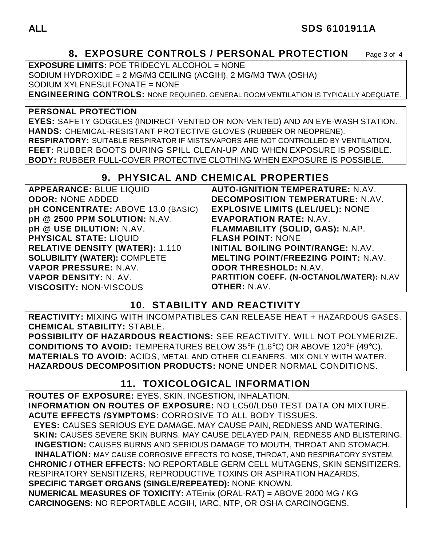## **ALL SDS 6101911A**

# **8. EXPOSURE CONTROLS / PERSONAL PROTECTION** Page 3 of 4

**EXPOSURE LIMITS:** POE TRIDECYL ALCOHOL = NONE SODIUM HYDROXIDE = 2 MG/M3 CEILING (ACGIH), 2 MG/M3 TWA (OSHA) SODIUM XYLENESULFONATE = NONE **ENGINEERING CONTROLS:** NONE REQUIRED. GENERAL ROOM VENTILATION IS TYPICALLY ADEQUATE.

#### **PERSONAL PROTECTION**

**EYES:** SAFETY GOGGLES (INDIRECT-VENTED OR NON-VENTED) AND AN EYE-WASH STATION. **HANDS:** CHEMICAL-RESISTANT PROTECTIVE GLOVES (RUBBER OR NEOPRENE). **RESPIRATORY:** SUITABLE RESPIRATOR IF MISTS/VAPORS ARE NOT CONTROLLED BY VENTILATION. **FEET:** RUBBER BOOTS DURING SPILL CLEAN-UP AND WHEN EXPOSURE IS POSSIBLE. **BODY:** RUBBER FULL-COVER PROTECTIVE CLOTHING WHEN EXPOSURE IS POSSIBLE.

### **9. PHYSICAL AND CHEMICAL PROPERTIES**

| APPEARANCE: BLUE LIQUID                   | <b>AUTO-IGNITION TEMPERATURE: N.AV.</b>    |
|-------------------------------------------|--------------------------------------------|
| <b>ODOR: NONE ADDED</b>                   | <b>DECOMPOSITION TEMPERATURE: N.AV.</b>    |
| <b>pH CONCENTRATE: ABOVE 13.0 (BASIC)</b> | <b>EXPLOSIVE LIMITS (LEL/UEL): NONE</b>    |
| pH @ 2500 PPM SOLUTION: N.AV.             | <b>EVAPORATION RATE: N.AV.</b>             |
| pH @ USE DILUTION: N.AV.                  | FLAMMABILITY (SOLID, GAS): N.AP.           |
| <b>PHYSICAL STATE: LIQUID</b>             | <b>FLASH POINT: NONE</b>                   |
| <b>RELATIVE DENSITY (WATER): 1.110</b>    | <b>INITIAL BOILING POINT/RANGE: N.AV.</b>  |
| <b>SOLUBILITY (WATER): COMPLETE</b>       | <b>MELTING POINT/FREEZING POINT: N.AV.</b> |
| VAPOR PRESSURE: N.AV.                     | <b>ODOR THRESHOLD: N.AV.</b>               |
| VAPOR DENSITY: N. AV.                     | PARTITION COEFF. (N-OCTANOL/WATER): N.AV   |
| <b>VISCOSITY: NON-VISCOUS</b>             | <b>OTHER: N.AV.</b>                        |

# **10. STABILITY AND REACTIVITY**

**REACTIVITY:** MIXING WITH INCOMPATIBLES CAN RELEASE HEAT + HAZARDOUS GASES. **CHEMICAL STABILITY:** STABLE.

**POSSIBILITY OF HAZARDOUS REACTIONS:** SEE REACTIVITY. WILL NOT POLYMERIZE. **CONDITIONS TO AVOID:** TEMPERATURES BELOW 35°F (1.6°C) OR ABOVE 120°F (49°C). **MATERIALS TO AVOID:** ACIDS, METAL AND OTHER CLEANERS. MIX ONLY WITH WATER. **HAZARDOUS DECOMPOSITION PRODUCTS:** NONE UNDER NORMAL CONDITIONS.

### **11. TOXICOLOGICAL INFORMATION**

**ROUTES OF EXPOSURE:** EYES, SKIN, INGESTION, INHALATION. **INFORMATION ON ROUTES OF EXPOSURE:** NO LC50/LD50 TEST DATA ON MIXTURE. **ACUTE EFFECTS /SYMPTOMS**: CORROSIVE TO ALL BODY TISSUES.  **EYES:** CAUSES SERIOUS EYE DAMAGE. MAY CAUSE PAIN, REDNESS AND WATERING.  **SKIN:** CAUSES SEVERE SKIN BURNS. MAY CAUSE DELAYED PAIN, REDNESS AND BLISTERING. **INGESTION:** CAUSES BURNS AND SERIOUS DAMAGE TO MOUTH, THROAT AND STOMACH. **INHALATION:** MAY CAUSE CORROSIVE EFFECTS TO NOSE, THROAT, AND RESPIRATORY SYSTEM. **CHRONIC / OTHER EFFECTS:** NO REPORTABLE GERM CELL MUTAGENS, SKIN SENSITIZERS, RESPIRATORY SENSITIZERS, REPRODUCTIVE TOXINS OR ASPIRATION HAZARDS. **SPECIFIC TARGET ORGANS (SINGLE/REPEATED):** NONE KNOWN. **NUMERICAL MEASURES OF TOXICITY:** ATEmix (ORAL-RAT) = ABOVE 2000 MG / KG **CARCINOGENS:** NO REPORTABLE ACGIH, IARC, NTP, OR OSHA CARCINOGENS.